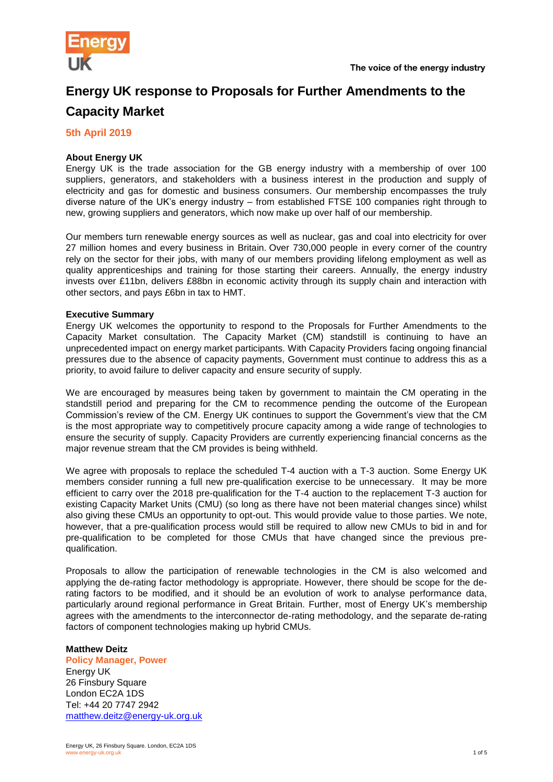

# **Energy UK response to Proposals for Further Amendments to the Capacity Market**

# **5th April 2019**

# **About Energy UK**

Energy UK is the trade association for the GB energy industry with a membership of over 100 suppliers, generators, and stakeholders with a business interest in the production and supply of electricity and gas for domestic and business consumers. Our membership encompasses the truly diverse nature of the UK's energy industry – from established FTSE 100 companies right through to new, growing suppliers and generators, which now make up over half of our membership.

Our members turn renewable energy sources as well as nuclear, gas and coal into electricity for over 27 million homes and every business in Britain. Over 730,000 people in every corner of the country rely on the sector for their jobs, with many of our members providing lifelong employment as well as quality apprenticeships and training for those starting their careers. Annually, the energy industry invests over £11bn, delivers £88bn in economic activity through its supply chain and interaction with other sectors, and pays £6bn in tax to HMT.

## **Executive Summary**

Energy UK welcomes the opportunity to respond to the Proposals for Further Amendments to the Capacity Market consultation. The Capacity Market (CM) standstill is continuing to have an unprecedented impact on energy market participants. With Capacity Providers facing ongoing financial pressures due to the absence of capacity payments, Government must continue to address this as a priority, to avoid failure to deliver capacity and ensure security of supply.

We are encouraged by measures being taken by government to maintain the CM operating in the standstill period and preparing for the CM to recommence pending the outcome of the European Commission's review of the CM. Energy UK continues to support the Government's view that the CM is the most appropriate way to competitively procure capacity among a wide range of technologies to ensure the security of supply. Capacity Providers are currently experiencing financial concerns as the major revenue stream that the CM provides is being withheld.

We agree with proposals to replace the scheduled T-4 auction with a T-3 auction. Some Energy UK members consider running a full new pre-qualification exercise to be unnecessary. It may be more efficient to carry over the 2018 pre-qualification for the T-4 auction to the replacement T-3 auction for existing Capacity Market Units (CMU) (so long as there have not been material changes since) whilst also giving these CMUs an opportunity to opt-out. This would provide value to those parties. We note, however, that a pre-qualification process would still be required to allow new CMUs to bid in and for pre-qualification to be completed for those CMUs that have changed since the previous prequalification.

Proposals to allow the participation of renewable technologies in the CM is also welcomed and applying the de-rating factor methodology is appropriate. However, there should be scope for the derating factors to be modified, and it should be an evolution of work to analyse performance data, particularly around regional performance in Great Britain. Further, most of Energy UK's membership agrees with the amendments to the interconnector de-rating methodology, and the separate de-rating factors of component technologies making up hybrid CMUs.

### **Matthew Deitz**

**Policy Manager, Power** Energy UK 26 Finsbury Square London EC2A 1DS Tel: +44 20 7747 2942 [matthew.deitz@energy-uk.org.uk](mailto:matthew.deitz@energy-uk.org.uk)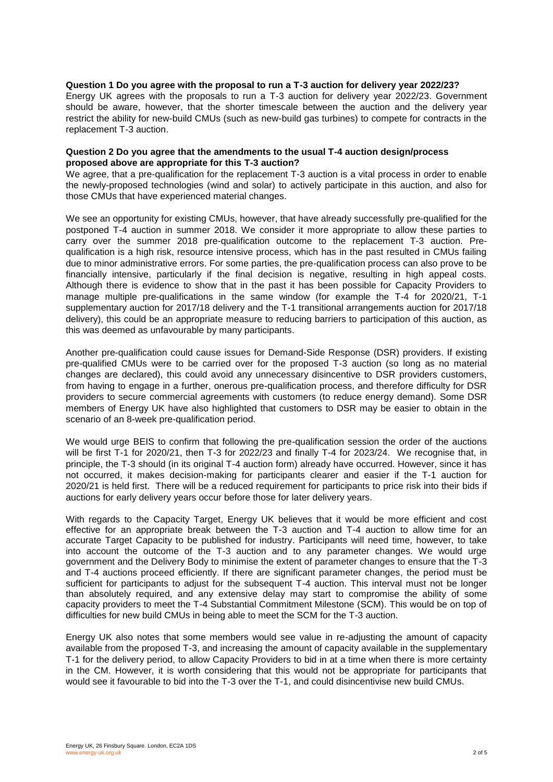### **Question 1 Do you agree with the proposal to run a T-3 auction for delivery year 2022/23?**

Energy UK agrees with the proposals to run a T-3 auction for delivery year 2022/23. Government should be aware, however, that the shorter timescale between the auction and the delivery year restrict the ability for new-build CMUs (such as new-build gas turbines) to compete for contracts in the replacement T-3 auction.

### **Question 2 Do you agree that the amendments to the usual T-4 auction design/process proposed above are appropriate for this T-3 auction?**

We agree, that a pre-qualification for the replacement T-3 auction is a vital process in order to enable the newly-proposed technologies (wind and solar) to actively participate in this auction, and also for those CMUs that have experienced material changes.

We see an opportunity for existing CMUs, however, that have already successfully pre-qualified for the postponed T-4 auction in summer 2018. We consider it more appropriate to allow these parties to carry over the summer 2018 pre-qualification outcome to the replacement T-3 auction. Prequalification is a high risk, resource intensive process, which has in the past resulted in CMUs failing due to minor administrative errors. For some parties, the pre-qualification process can also prove to be financially intensive, particularly if the final decision is negative, resulting in high appeal costs. Although there is evidence to show that in the past it has been possible for Capacity Providers to manage multiple pre-qualifications in the same window (for example the T-4 for 2020/21, T-1 supplementary auction for 2017/18 delivery and the T-1 transitional arrangements auction for 2017/18 delivery), this could be an appropriate measure to reducing barriers to participation of this auction, as this was deemed as unfavourable by many participants.

Another pre-qualification could cause issues for Demand-Side Response (DSR) providers. If existing pre-qualified CMUs were to be carried over for the proposed T-3 auction (so long as no material changes are declared), this could avoid any unnecessary disincentive to DSR providers customers, from having to engage in a further, onerous pre-qualification process, and therefore difficulty for DSR providers to secure commercial agreements with customers (to reduce energy demand). Some DSR members of Energy UK have also highlighted that customers to DSR may be easier to obtain in the scenario of an 8-week pre-qualification period.

We would urge BEIS to confirm that following the pre-qualification session the order of the auctions will be first T-1 for 2020/21, then T-3 for 2022/23 and finally T-4 for 2023/24. We recognise that, in principle, the T-3 should (in its original T-4 auction form) already have occurred. However, since it has not occurred, it makes decision-making for participants clearer and easier if the T-1 auction for 2020/21 is held first. There will be a reduced requirement for participants to price risk into their bids if auctions for early delivery years occur before those for later delivery years.

With regards to the Capacity Target, Energy UK believes that it would be more efficient and cost effective for an appropriate break between the T-3 auction and T-4 auction to allow time for an accurate Target Capacity to be published for industry. Participants will need time, however, to take into account the outcome of the T-3 auction and to any parameter changes. We would urge government and the Delivery Body to minimise the extent of parameter changes to ensure that the T-3 and T-4 auctions proceed efficiently. If there are significant parameter changes, the period must be sufficient for participants to adjust for the subsequent T-4 auction. This interval must not be longer than absolutely required, and any extensive delay may start to compromise the ability of some capacity providers to meet the T-4 Substantial Commitment Milestone (SCM). This would be on top of difficulties for new build CMUs in being able to meet the SCM for the T-3 auction.

Energy UK also notes that some members would see value in re-adjusting the amount of capacity available from the proposed T-3, and increasing the amount of capacity available in the supplementary T-1 for the delivery period, to allow Capacity Providers to bid in at a time when there is more certainty in the CM. However, it is worth considering that this would not be appropriate for participants that would see it favourable to bid into the T-3 over the T-1, and could disincentivise new build CMUs.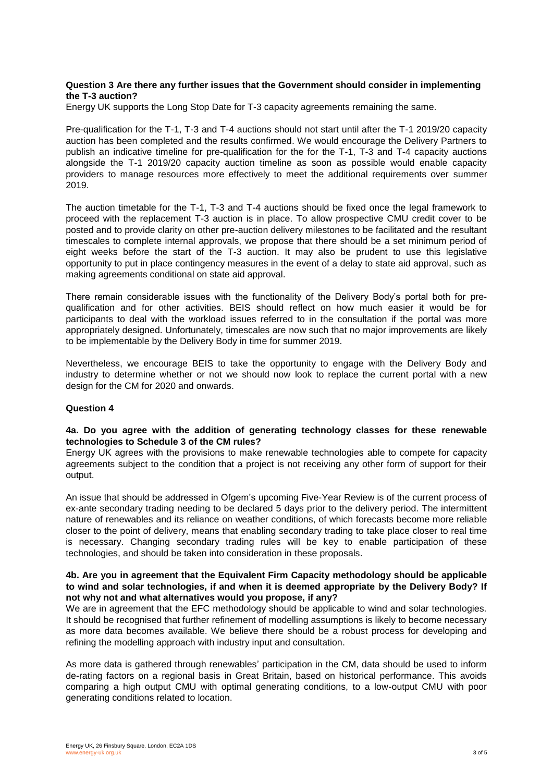## **Question 3 Are there any further issues that the Government should consider in implementing the T-3 auction?**

Energy UK supports the Long Stop Date for T-3 capacity agreements remaining the same.

Pre-qualification for the T-1, T-3 and T-4 auctions should not start until after the T-1 2019/20 capacity auction has been completed and the results confirmed. We would encourage the Delivery Partners to publish an indicative timeline for pre-qualification for the for the T-1, T-3 and T-4 capacity auctions alongside the T-1 2019/20 capacity auction timeline as soon as possible would enable capacity providers to manage resources more effectively to meet the additional requirements over summer 2019.

The auction timetable for the T-1, T-3 and T-4 auctions should be fixed once the legal framework to proceed with the replacement T-3 auction is in place. To allow prospective CMU credit cover to be posted and to provide clarity on other pre-auction delivery milestones to be facilitated and the resultant timescales to complete internal approvals, we propose that there should be a set minimum period of eight weeks before the start of the T-3 auction. It may also be prudent to use this legislative opportunity to put in place contingency measures in the event of a delay to state aid approval, such as making agreements conditional on state aid approval.

There remain considerable issues with the functionality of the Delivery Body's portal both for prequalification and for other activities. BEIS should reflect on how much easier it would be for participants to deal with the workload issues referred to in the consultation if the portal was more appropriately designed. Unfortunately, timescales are now such that no major improvements are likely to be implementable by the Delivery Body in time for summer 2019.

Nevertheless, we encourage BEIS to take the opportunity to engage with the Delivery Body and industry to determine whether or not we should now look to replace the current portal with a new design for the CM for 2020 and onwards.

### **Question 4**

## **4a. Do you agree with the addition of generating technology classes for these renewable technologies to Schedule 3 of the CM rules?**

Energy UK agrees with the provisions to make renewable technologies able to compete for capacity agreements subject to the condition that a project is not receiving any other form of support for their output.

An issue that should be addressed in Ofgem's upcoming Five-Year Review is of the current process of ex-ante secondary trading needing to be declared 5 days prior to the delivery period. The intermittent nature of renewables and its reliance on weather conditions, of which forecasts become more reliable closer to the point of delivery, means that enabling secondary trading to take place closer to real time is necessary. Changing secondary trading rules will be key to enable participation of these technologies, and should be taken into consideration in these proposals.

### **4b. Are you in agreement that the Equivalent Firm Capacity methodology should be applicable to wind and solar technologies, if and when it is deemed appropriate by the Delivery Body? If not why not and what alternatives would you propose, if any?**

We are in agreement that the EFC methodology should be applicable to wind and solar technologies. It should be recognised that further refinement of modelling assumptions is likely to become necessary as more data becomes available. We believe there should be a robust process for developing and refining the modelling approach with industry input and consultation.

As more data is gathered through renewables' participation in the CM, data should be used to inform de-rating factors on a regional basis in Great Britain, based on historical performance. This avoids comparing a high output CMU with optimal generating conditions, to a low-output CMU with poor generating conditions related to location.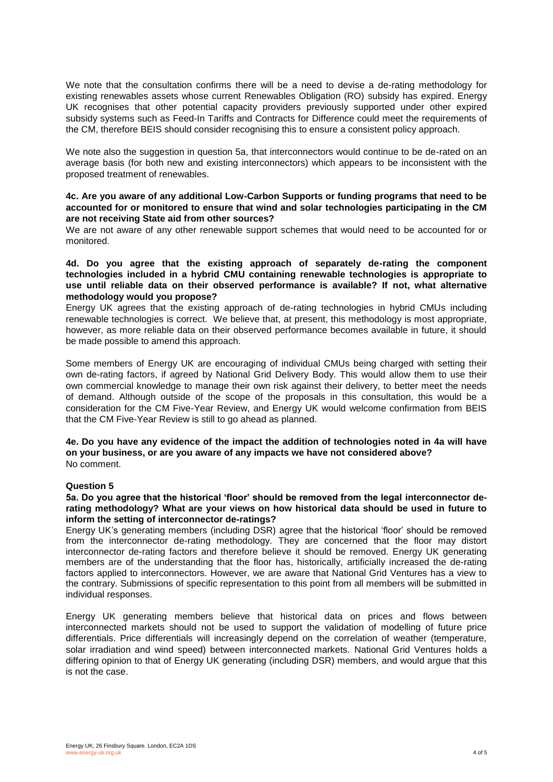We note that the consultation confirms there will be a need to devise a de-rating methodology for existing renewables assets whose current Renewables Obligation (RO) subsidy has expired. Energy UK recognises that other potential capacity providers previously supported under other expired subsidy systems such as Feed-In Tariffs and Contracts for Difference could meet the requirements of the CM, therefore BEIS should consider recognising this to ensure a consistent policy approach.

We note also the suggestion in question 5a, that interconnectors would continue to be de-rated on an average basis (for both new and existing interconnectors) which appears to be inconsistent with the proposed treatment of renewables.

## **4c. Are you aware of any additional Low-Carbon Supports or funding programs that need to be accounted for or monitored to ensure that wind and solar technologies participating in the CM are not receiving State aid from other sources?**

We are not aware of any other renewable support schemes that would need to be accounted for or monitored.

## **4d. Do you agree that the existing approach of separately de-rating the component technologies included in a hybrid CMU containing renewable technologies is appropriate to use until reliable data on their observed performance is available? If not, what alternative methodology would you propose?**

Energy UK agrees that the existing approach of de-rating technologies in hybrid CMUs including renewable technologies is correct. We believe that, at present, this methodology is most appropriate, however, as more reliable data on their observed performance becomes available in future, it should be made possible to amend this approach.

Some members of Energy UK are encouraging of individual CMUs being charged with setting their own de-rating factors, if agreed by National Grid Delivery Body. This would allow them to use their own commercial knowledge to manage their own risk against their delivery, to better meet the needs of demand. Although outside of the scope of the proposals in this consultation, this would be a consideration for the CM Five-Year Review, and Energy UK would welcome confirmation from BEIS that the CM Five-Year Review is still to go ahead as planned.

#### **4e. Do you have any evidence of the impact the addition of technologies noted in 4a will have on your business, or are you aware of any impacts we have not considered above?** No comment.

### **Question 5**

### **5a. Do you agree that the historical 'floor' should be removed from the legal interconnector derating methodology? What are your views on how historical data should be used in future to inform the setting of interconnector de-ratings?**

Energy UK's generating members (including DSR) agree that the historical 'floor' should be removed from the interconnector de-rating methodology. They are concerned that the floor may distort interconnector de-rating factors and therefore believe it should be removed. Energy UK generating members are of the understanding that the floor has, historically, artificially increased the de-rating factors applied to interconnectors. However, we are aware that National Grid Ventures has a view to the contrary. Submissions of specific representation to this point from all members will be submitted in individual responses.

Energy UK generating members believe that historical data on prices and flows between interconnected markets should not be used to support the validation of modelling of future price differentials. Price differentials will increasingly depend on the correlation of weather (temperature, solar irradiation and wind speed) between interconnected markets. National Grid Ventures holds a differing opinion to that of Energy UK generating (including DSR) members, and would argue that this is not the case.